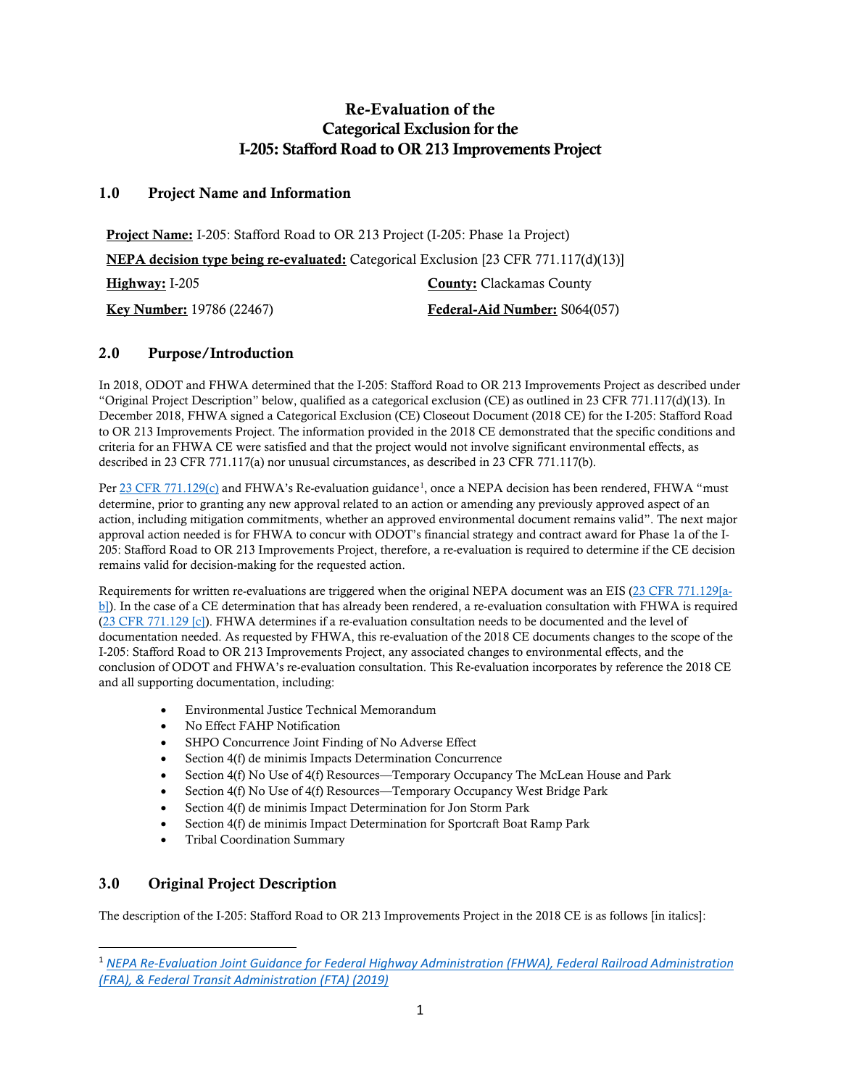## Re-Evaluation of the Categorical Exclusion for the I-205: Stafford Road to OR 213 Improvements Project

### 1.0 Project Name and Information

Project Name: I-205: Stafford Road to OR 213 Project (I-205: Phase 1a Project) NEPA decision type being re-evaluated: Categorical Exclusion [23 CFR 771.117(d)(13)] Highway: I-205 County: Clackamas County Key Number: 19786 (22467) Federal-Aid Number: S064(057)

#### 2.0 Purpose/Introduction

In 2018, ODOT and FHWA determined that the I-205: Stafford Road to OR 213 Improvements Project as described under "Original Project Description" below, qualified as a categorical exclusion (CE) as outlined in 23 CFR 771.117(d)(13). In December 2018, FHWA signed a Categorical Exclusion (CE) Closeout Document (2018 CE) for the I-205: Stafford Road to OR 213 Improvements Project. The information provided in the 2018 CE demonstrated that the specific conditions and criteria for an FHWA CE were satisfied and that the project would not involve significant environmental effects, as described in 23 CFR 771.117(a) nor unusual circumstances, as described in 23 CFR 771.117(b).

Per [23 CFR 771.129\(c\)](https://www.ecfr.gov/current/title-23/section-771.129) and FHWA's Re-evaluation guidance<sup>[1](#page-0-0)</sup>, once a NEPA decision has been rendered, FHWA "must determine, prior to granting any new approval related to an action or amending any previously approved aspect of an action, including mitigation commitments, whether an approved environmental document remains valid". The next major approval action needed is for FHWA to concur with ODOT's financial strategy and contract award for Phase 1a of the I-205: Stafford Road to OR 213 Improvements Project, therefore, a re-evaluation is required to determine if the CE decision remains valid for decision-making for the requested action.

Requirements for written re-evaluations are triggered when the original NEPA document was an EIS [\(23 CFR 771.129\[a](https://www.ecfr.gov/current/title-23/section-771.129)[b\]\)](https://www.ecfr.gov/current/title-23/section-771.129). In the case of a CE determination that has already been rendered, a re-evaluation consultation with FHWA is required [\(23 CFR 771.129 \[c\]\)](https://www.ecfr.gov/current/title-23/chapter-I/subchapter-H/part-771/section-771.129#p-771.129(c)). FHWA determines if a re-evaluation consultation needs to be documented and the level of documentation needed. As requested by FHWA, this re-evaluation of the 2018 CE documents changes to the scope of the I-205: Stafford Road to OR 213 Improvements Project, any associated changes to environmental effects, and the conclusion of ODOT and FHWA's re-evaluation consultation. This Re-evaluation incorporates by reference the 2018 CE and all supporting documentation, including:

- Environmental Justice Technical Memorandum
- No Effect FAHP Notification
- SHPO Concurrence Joint Finding of No Adverse Effect
- Section 4(f) de minimis Impacts Determination Concurrence
- Section 4(f) No Use of 4(f) Resources—Temporary Occupancy The McLean House and Park
- Section 4(f) No Use of 4(f) Resources—Temporary Occupancy West Bridge Park
- Section 4(f) de minimis Impact Determination for Jon Storm Park
- Section 4(f) de minimis Impact Determination for Sportcraft Boat Ramp Park
- Tribal Coordination Summary

## <span id="page-0-1"></span>3.0 Original Project Description

The description of the I-205: Stafford Road to OR 213 Improvements Project in the 2018 CE is as follows [in italics]:

<span id="page-0-0"></span><sup>1</sup> *[NEPA Re-Evaluation Joint Guidance for Federal Highway Administration \(FHWA\), Federal Railroad Administration](https://www.environment.fhwa.dot.gov/legislation/nepa/Reevaluation_guidance_08142019.aspx#_ftn1)  [\(FRA\), & Federal Transit Administration \(FTA\) \(2019\)](https://www.environment.fhwa.dot.gov/legislation/nepa/Reevaluation_guidance_08142019.aspx#_ftn1)*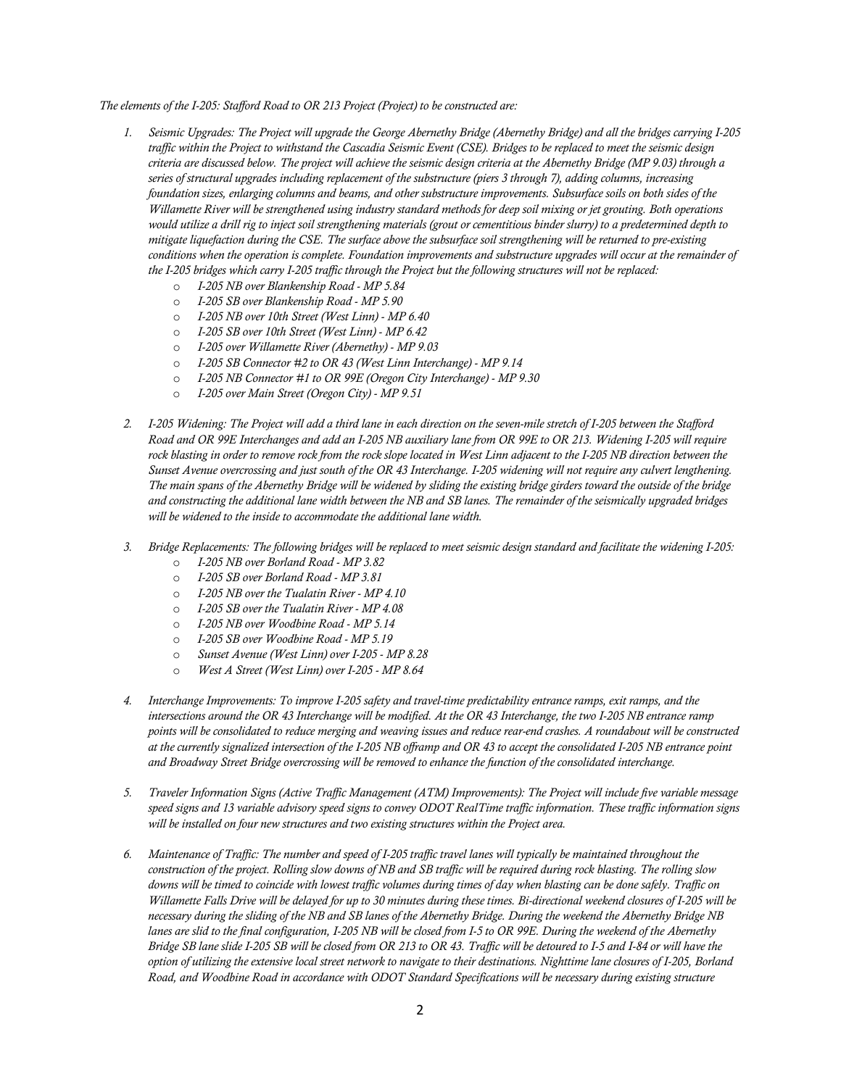*The elements of the I-205: Stafford Road to OR 213 Project (Project) to be constructed are:* 

- *1. Seismic Upgrades: The Project will upgrade the George Abernethy Bridge (Abernethy Bridge) and all the bridges carrying I-205 traffic within the Project to withstand the Cascadia Seismic Event (CSE). Bridges to be replaced to meet the seismic design criteria are discussed below. The project will achieve the seismic design criteria at the Abernethy Bridge (MP 9.03) through a series of structural upgrades including replacement of the substructure (piers 3 through 7), adding columns, increasing foundation sizes, enlarging columns and beams, and other substructure improvements. Subsurface soils on both sides of the Willamette River will be strengthened using industry standard methods for deep soil mixing or jet grouting. Both operations would utilize a drill rig to inject soil strengthening materials (grout or cementitious binder slurry) to a predetermined depth to mitigate liquefaction during the CSE. The surface above the subsurface soil strengthening will be returned to pre-existing conditions when the operation is complete. Foundation improvements and substructure upgrades will occur at the remainder of the I-205 bridges which carry I-205 traffic through the Project but the following structures will not be replaced:* 
	- o *I-205 NB over Blankenship Road - MP 5.84*
	- o *I-205 SB over Blankenship Road - MP 5.90*
	- o *I-205 NB over 10th Street (West Linn) - MP 6.40*
	- o *I-205 SB over 10th Street (West Linn) - MP 6.42*
	-
	- o *I-205 over Willamette River (Abernethy) - MP 9.03*  o *I-205 SB Connector #2 to OR 43 (West Linn Interchange) - MP 9.14*
	- o *I-205 NB Connector #1 to OR 99E (Oregon City Interchange) - MP 9.30*
	- o *I-205 over Main Street (Oregon City) - MP 9.51*
- *2. I-205 Widening: The Project will add a third lane in each direction on the seven-mile stretch of I-205 between the Stafford Road and OR 99E Interchanges and add an I-205 NB auxiliary lane from OR 99E to OR 213. Widening I-205 will require*  rock blasting in order to remove rock from the rock slope located in West Linn adjacent to the I-205 NB direction between the *Sunset Avenue overcrossing and just south of the OR 43 Interchange. I-205 widening will not require any culvert lengthening. The main spans of the Abernethy Bridge will be widened by sliding the existing bridge girders toward the outside of the bridge and constructing the additional lane width between the NB and SB lanes. The remainder of the seismically upgraded bridges will be widened to the inside to accommodate the additional lane width.*
- *3. Bridge Replacements: The following bridges will be replaced to meet seismic design standard and facilitate the widening I-205:* 
	- o *I-205 NB over Borland Road - MP 3.82*
	- o *I-205 SB over Borland Road - MP 3.81*
	- o *I-205 NB over the Tualatin River - MP 4.10*
	- o *I-205 SB over the Tualatin River - MP 4.08*
	- o *I-205 NB over Woodbine Road - MP 5.14*
	- o *I-205 SB over Woodbine Road - MP 5.19*
	- o *Sunset Avenue (West Linn) over I-205 - MP 8.28*
	- o *West A Street (West Linn) over I-205 - MP 8.64*
- *4. Interchange Improvements: To improve I-205 safety and travel-time predictability entrance ramps, exit ramps, and the intersections around the OR 43 Interchange will be modified. At the OR 43 Interchange, the two I-205 NB entrance ramp points will be consolidated to reduce merging and weaving issues and reduce rear-end crashes. A roundabout will be constructed at the currently signalized intersection of the I-205 NB offramp and OR 43 to accept the consolidated I-205 NB entrance point and Broadway Street Bridge overcrossing will be removed to enhance the function of the consolidated interchange.*
- *5. Traveler Information Signs (Active Traffic Management (ATM) Improvements): The Project will include five variable message speed signs and 13 variable advisory speed signs to convey ODOT RealTime traffic information. These traffic information signs* will be installed on four new structures and two existing structures within the Project area.
- *6. Maintenance of Traffic: The number and speed of I-205 traffic travel lanes will typically be maintained throughout the construction of the project. Rolling slow downs of NB and SB traffic will be required during rock blasting. The rolling slow downs will be timed to coincide with lowest traffic volumes during times of day when blasting can be done safely. Traffic on Willamette Falls Drive will be delayed for up to 30 minutes during these times. Bi-directional weekend closures of I-205 will be necessary during the sliding of the NB and SB lanes of the Abernethy Bridge. During the weekend the Abernethy Bridge NB lanes are slid to the final configuration, I-205 NB will be closed from I-5 to OR 99E. During the weekend of the Abernethy Bridge SB lane slide I-205 SB will be closed from OR 213 to OR 43. Traffic will be detoured to I-5 and I-84 or will have the option of utilizing the extensive local street network to navigate to their destinations. Nighttime lane closures of I-205, Borland Road, and Woodbine Road in accordance with ODOT Standard Specifications will be necessary during existing structure*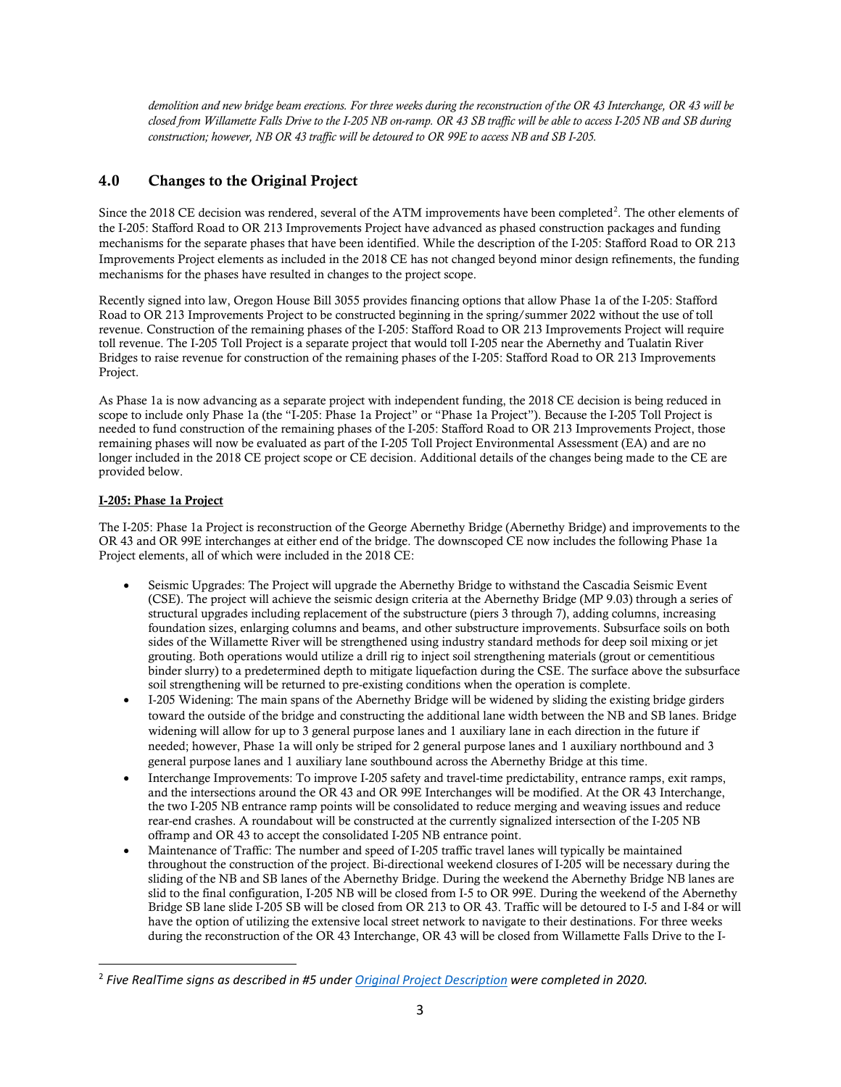*demolition and new bridge beam erections. For three weeks during the reconstruction of the OR 43 Interchange, OR 43 will be closed from Willamette Falls Drive to the I-205 NB on-ramp. OR 43 SB traffic will be able to access I-205 NB and SB during construction; however, NB OR 43 traffic will be detoured to OR 99E to access NB and SB I-205.* 

## 4.0 Changes to the Original Project

Since the [2](#page-2-0)018 CE decision was rendered, several of the ATM improvements have been completed<sup>2</sup>. The other elements of the I-205: Stafford Road to OR 213 Improvements Project have advanced as phased construction packages and funding mechanisms for the separate phases that have been identified. While the description of the I-205: Stafford Road to OR 213 Improvements Project elements as included in the 2018 CE has not changed beyond minor design refinements, the funding mechanisms for the phases have resulted in changes to the project scope.

Recently signed into law, Oregon House Bill 3055 provides financing options that allow Phase 1a of the I-205: Stafford Road to OR 213 Improvements Project to be constructed beginning in the spring/summer 2022 without the use of toll revenue. Construction of the remaining phases of the I-205: Stafford Road to OR 213 Improvements Project will require toll revenue. The I-205 Toll Project is a separate project that would toll I-205 near the Abernethy and Tualatin River Bridges to raise revenue for construction of the remaining phases of the I-205: Stafford Road to OR 213 Improvements Project.

As Phase 1a is now advancing as a separate project with independent funding, the 2018 CE decision is being reduced in scope to include only Phase 1a (the "I-205: Phase 1a Project" or "Phase 1a Project"). Because the I-205 Toll Project is needed to fund construction of the remaining phases of the I-205: Stafford Road to OR 213 Improvements Project, those remaining phases will now be evaluated as part of the I-205 Toll Project Environmental Assessment (EA) and are no longer included in the 2018 CE project scope or CE decision. Additional details of the changes being made to the CE are provided below.

#### I-205: Phase 1a Project

The I-205: Phase 1a Project is reconstruction of the George Abernethy Bridge (Abernethy Bridge) and improvements to the OR 43 and OR 99E interchanges at either end of the bridge. The downscoped CE now includes the following Phase 1a Project elements, all of which were included in the 2018 CE:

- Seismic Upgrades: The Project will upgrade the Abernethy Bridge to withstand the Cascadia Seismic Event (CSE). The project will achieve the seismic design criteria at the Abernethy Bridge (MP 9.03) through a series of structural upgrades including replacement of the substructure (piers 3 through 7), adding columns, increasing foundation sizes, enlarging columns and beams, and other substructure improvements. Subsurface soils on both sides of the Willamette River will be strengthened using industry standard methods for deep soil mixing or jet grouting. Both operations would utilize a drill rig to inject soil strengthening materials (grout or cementitious binder slurry) to a predetermined depth to mitigate liquefaction during the CSE. The surface above the subsurface soil strengthening will be returned to pre-existing conditions when the operation is complete.
- I-205 Widening: The main spans of the Abernethy Bridge will be widened by sliding the existing bridge girders toward the outside of the bridge and constructing the additional lane width between the NB and SB lanes. Bridge widening will allow for up to 3 general purpose lanes and 1 auxiliary lane in each direction in the future if needed; however, Phase 1a will only be striped for 2 general purpose lanes and 1 auxiliary northbound and 3 general purpose lanes and 1 auxiliary lane southbound across the Abernethy Bridge at this time.
- Interchange Improvements: To improve I-205 safety and travel-time predictability, entrance ramps, exit ramps, and the intersections around the OR 43 and OR 99E Interchanges will be modified. At the OR 43 Interchange, the two I-205 NB entrance ramp points will be consolidated to reduce merging and weaving issues and reduce rear-end crashes. A roundabout will be constructed at the currently signalized intersection of the I-205 NB offramp and OR 43 to accept the consolidated I-205 NB entrance point.
- Maintenance of Traffic: The number and speed of I-205 traffic travel lanes will typically be maintained throughout the construction of the project. Bi-directional weekend closures of I-205 will be necessary during the sliding of the NB and SB lanes of the Abernethy Bridge. During the weekend the Abernethy Bridge NB lanes are slid to the final configuration, I-205 NB will be closed from I-5 to OR 99E. During the weekend of the Abernethy Bridge SB lane slide I-205 SB will be closed from OR 213 to OR 43. Traffic will be detoured to I-5 and I-84 or will have the option of utilizing the extensive local street network to navigate to their destinations. For three weeks during the reconstruction of the OR 43 Interchange, OR 43 will be closed from Willamette Falls Drive to the I-

<span id="page-2-0"></span><sup>2</sup> *Five RealTime signs as described in #5 unde[r Original Project](#page-0-1) Description were completed in 2020.*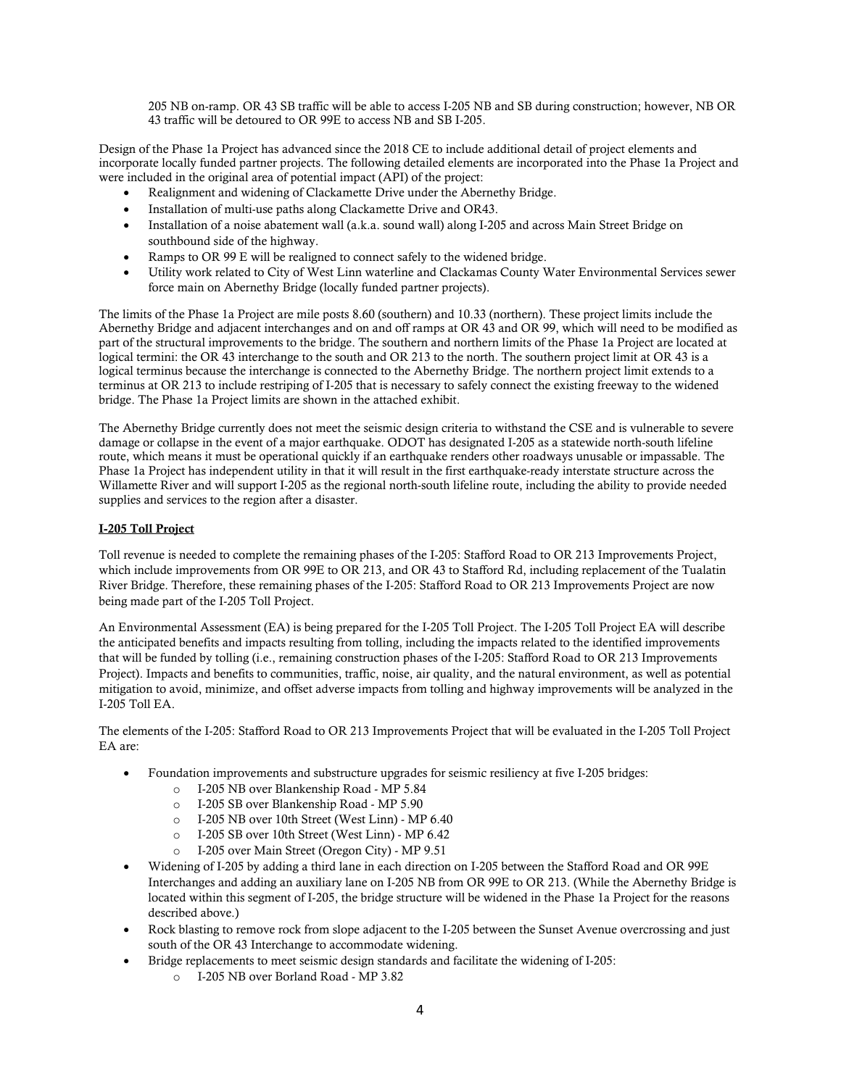205 NB on-ramp. OR 43 SB traffic will be able to access I-205 NB and SB during construction; however, NB OR 43 traffic will be detoured to OR 99E to access NB and SB I-205.

Design of the Phase 1a Project has advanced since the 2018 CE to include additional detail of project elements and incorporate locally funded partner projects. The following detailed elements are incorporated into the Phase 1a Project and were included in the original area of potential impact (API) of the project:

- Realignment and widening of Clackamette Drive under the Abernethy Bridge.
- Installation of multi-use paths along Clackamette Drive and OR43.
- Installation of a noise abatement wall (a.k.a. sound wall) along I-205 and across Main Street Bridge on southbound side of the highway.
- Ramps to OR 99 E will be realigned to connect safely to the widened bridge.
- Utility work related to City of West Linn waterline and Clackamas County Water Environmental Services sewer force main on Abernethy Bridge (locally funded partner projects).

The limits of the Phase 1a Project are mile posts 8.60 (southern) and 10.33 (northern). These project limits include the Abernethy Bridge and adjacent interchanges and on and off ramps at OR 43 and OR 99, which will need to be modified as part of the structural improvements to the bridge. The southern and northern limits of the Phase 1a Project are located at logical termini: the OR 43 interchange to the south and OR 213 to the north. The southern project limit at OR 43 is a logical terminus because the interchange is connected to the Abernethy Bridge. The northern project limit extends to a terminus at OR 213 to include restriping of I-205 that is necessary to safely connect the existing freeway to the widened bridge. The Phase 1a Project limits are shown in the attached exhibit.

The Abernethy Bridge currently does not meet the seismic design criteria to withstand the CSE and is vulnerable to severe damage or collapse in the event of a major earthquake. ODOT has designated I-205 as a statewide north-south lifeline route, which means it must be operational quickly if an earthquake renders other roadways unusable or impassable. The Phase 1a Project has independent utility in that it will result in the first earthquake-ready interstate structure across the Willamette River and will support I-205 as the regional north-south lifeline route, including the ability to provide needed supplies and services to the region after a disaster.

#### I-205 Toll Project

Toll revenue is needed to complete the remaining phases of the I-205: Stafford Road to OR 213 Improvements Project, which include improvements from OR 99E to OR 213, and OR 43 to Stafford Rd, including replacement of the Tualatin River Bridge. Therefore, these remaining phases of the I-205: Stafford Road to OR 213 Improvements Project are now being made part of the I-205 Toll Project.

An Environmental Assessment (EA) is being prepared for the I-205 Toll Project. The I-205 Toll Project EA will describe the anticipated benefits and impacts resulting from tolling, including the impacts related to the identified improvements that will be funded by tolling (i.e., remaining construction phases of the I-205: Stafford Road to OR 213 Improvements Project). Impacts and benefits to communities, traffic, noise, air quality, and the natural environment, as well as potential mitigation to avoid, minimize, and offset adverse impacts from tolling and highway improvements will be analyzed in the I-205 Toll EA.

The elements of the I-205: Stafford Road to OR 213 Improvements Project that will be evaluated in the I-205 Toll Project EA are:

- Foundation improvements and substructure upgrades for seismic resiliency at five I-205 bridges:
	- o I-205 NB over Blankenship Road MP 5.84
	- o I-205 SB over Blankenship Road MP 5.90
	- o I-205 NB over 10th Street (West Linn) MP 6.40
	- o I-205 SB over 10th Street (West Linn) MP 6.42
	- o I-205 over Main Street (Oregon City) MP 9.51
- Widening of I-205 by adding a third lane in each direction on I-205 between the Stafford Road and OR 99E Interchanges and adding an auxiliary lane on I-205 NB from OR 99E to OR 213. (While the Abernethy Bridge is located within this segment of I-205, the bridge structure will be widened in the Phase 1a Project for the reasons described above.)
- Rock blasting to remove rock from slope adjacent to the I-205 between the Sunset Avenue overcrossing and just south of the OR 43 Interchange to accommodate widening.
- Bridge replacements to meet seismic design standards and facilitate the widening of I-205:
	- o I-205 NB over Borland Road MP 3.82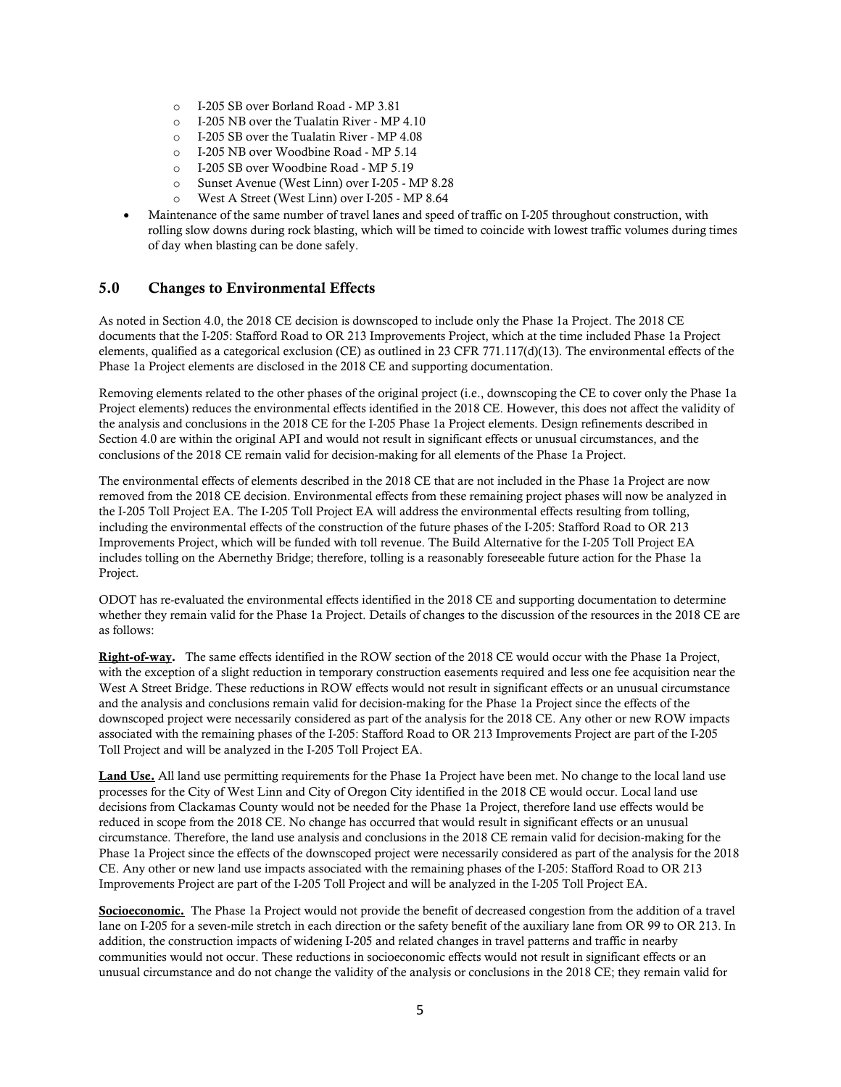- o I-205 SB over Borland Road MP 3.81
- o I-205 NB over the Tualatin River MP 4.10
- o I-205 SB over the Tualatin River MP 4.08
- o I-205 NB over Woodbine Road MP 5.14
- o I-205 SB over Woodbine Road MP 5.19
- o Sunset Avenue (West Linn) over I-205 MP 8.28
- o West A Street (West Linn) over I-205 MP 8.64
- Maintenance of the same number of travel lanes and speed of traffic on I-205 throughout construction, with rolling slow downs during rock blasting, which will be timed to coincide with lowest traffic volumes during times of day when blasting can be done safely.

#### 5.0 Changes to Environmental Effects

As noted in Section 4.0, the 2018 CE decision is downscoped to include only the Phase 1a Project. The 2018 CE documents that the I-205: Stafford Road to OR 213 Improvements Project, which at the time included Phase 1a Project elements, qualified as a categorical exclusion (CE) as outlined in 23 CFR 771.117(d)(13). The environmental effects of the Phase 1a Project elements are disclosed in the 2018 CE and supporting documentation.

Removing elements related to the other phases of the original project (i.e., downscoping the CE to cover only the Phase 1a Project elements) reduces the environmental effects identified in the 2018 CE. However, this does not affect the validity of the analysis and conclusions in the 2018 CE for the I-205 Phase 1a Project elements. Design refinements described in Section 4.0 are within the original API and would not result in significant effects or unusual circumstances, and the conclusions of the 2018 CE remain valid for decision-making for all elements of the Phase 1a Project.

The environmental effects of elements described in the 2018 CE that are not included in the Phase 1a Project are now removed from the 2018 CE decision. Environmental effects from these remaining project phases will now be analyzed in the I-205 Toll Project EA. The I-205 Toll Project EA will address the environmental effects resulting from tolling, including the environmental effects of the construction of the future phases of the I-205: Stafford Road to OR 213 Improvements Project, which will be funded with toll revenue. The Build Alternative for the I-205 Toll Project EA includes tolling on the Abernethy Bridge; therefore, tolling is a reasonably foreseeable future action for the Phase 1a Project.

ODOT has re-evaluated the environmental effects identified in the 2018 CE and supporting documentation to determine whether they remain valid for the Phase 1a Project. Details of changes to the discussion of the resources in the 2018 CE are as follows:

Right-of-way. The same effects identified in the ROW section of the 2018 CE would occur with the Phase 1a Project, with the exception of a slight reduction in temporary construction easements required and less one fee acquisition near the West A Street Bridge. These reductions in ROW effects would not result in significant effects or an unusual circumstance and the analysis and conclusions remain valid for decision-making for the Phase 1a Project since the effects of the downscoped project were necessarily considered as part of the analysis for the 2018 CE. Any other or new ROW impacts associated with the remaining phases of the I-205: Stafford Road to OR 213 Improvements Project are part of the I-205 Toll Project and will be analyzed in the I-205 Toll Project EA.

Land Use. All land use permitting requirements for the Phase 1a Project have been met. No change to the local land use processes for the City of West Linn and City of Oregon City identified in the 2018 CE would occur. Local land use decisions from Clackamas County would not be needed for the Phase 1a Project, therefore land use effects would be reduced in scope from the 2018 CE. No change has occurred that would result in significant effects or an unusual circumstance. Therefore, the land use analysis and conclusions in the 2018 CE remain valid for decision-making for the Phase 1a Project since the effects of the downscoped project were necessarily considered as part of the analysis for the 2018 CE. Any other or new land use impacts associated with the remaining phases of the I-205: Stafford Road to OR 213 Improvements Project are part of the I-205 Toll Project and will be analyzed in the I-205 Toll Project EA.

Socioeconomic. The Phase 1a Project would not provide the benefit of decreased congestion from the addition of a travel lane on I-205 for a seven-mile stretch in each direction or the safety benefit of the auxiliary lane from OR 99 to OR 213. In addition, the construction impacts of widening I-205 and related changes in travel patterns and traffic in nearby communities would not occur. These reductions in socioeconomic effects would not result in significant effects or an unusual circumstance and do not change the validity of the analysis or conclusions in the 2018 CE; they remain valid for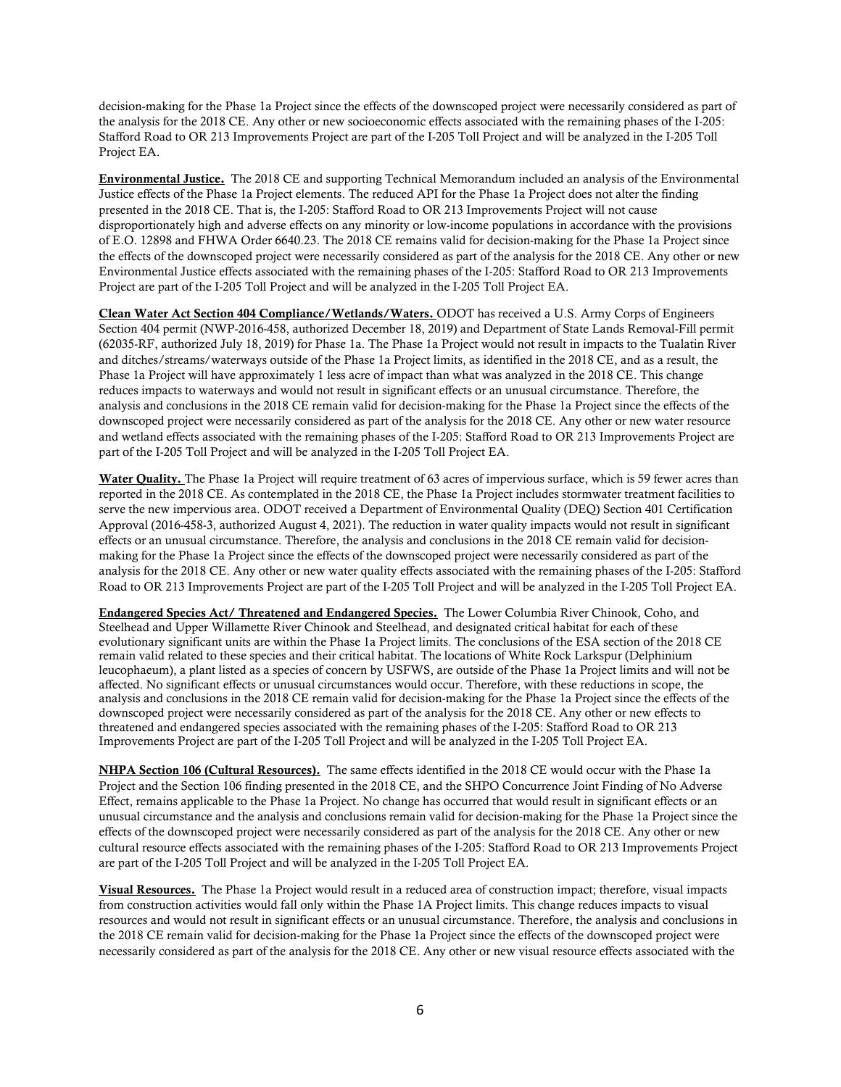decision-making for the Phase 1a Project since the effects of the downscoped project were necessarily considered as part of the analysis for the 2018 CE. Any other or new socioeconomic effects associated with the remaining phases of the I-205: Stafford Road to OR 213 Improvements Project are part of the I-205 Toll Project and will be analyzed in the I-205 Toll Project EA.

Environmental Justice. The 2018 CE and supporting Technical Memorandum included an analysis of the Environmental Justice effects of the Phase 1a Project elements. The reduced API for the Phase 1a Project does not alter the finding presented in the 2018 CE. That is, the I-205: Stafford Road to OR 213 Improvements Project will not cause disproportionately high and adverse effects on any minority or low-income populations in accordance with the provisions of E.O. 12898 and FHWA Order 6640.23. The 2018 CE remains valid for decision-making for the Phase 1a Project since the effects of the downscoped project were necessarily considered as part of the analysis for the 2018 CE. Any other or new Environmental Justice effects associated with the remaining phases of the I-205: Stafford Road to OR 213 Improvements Project are part of the I-205 Toll Project and will be analyzed in the I-205 Toll Project EA.

Clean Water Act Section 404 Compliance/Wetlands/Waters. ODOT has received a U.S. Army Corps of Engineers Section 404 permit (NWP-2016-458, authorized December 18, 2019) and Department of State Lands Removal-Fill permit (62035-RF, authorized July 18, 2019) for Phase 1a. The Phase 1a Project would not result in impacts to the Tualatin River and ditches/streams/waterways outside of the Phase 1a Project limits, as identified in the 2018 CE, and as a result, the Phase 1a Project will have approximately 1 less acre of impact than what was analyzed in the 2018 CE. This change reduces impacts to waterways and would not result in significant effects or an unusual circumstance. Therefore, the analysis and conclusions in the 2018 CE remain valid for decision-making for the Phase 1a Project since the effects of the downscoped project were necessarily considered as part of the analysis for the 2018 CE. Any other or new water resource and wetland effects associated with the remaining phases of the I-205: Stafford Road to OR 213 Improvements Project are part of the I-205 Toll Project and will be analyzed in the I-205 Toll Project EA.

Water Quality. The Phase 1a Project will require treatment of 63 acres of impervious surface, which is 59 fewer acres than reported in the 2018 CE. As contemplated in the 2018 CE, the Phase 1a Project includes stormwater treatment facilities to serve the new impervious area. ODOT received a Department of Environmental Quality (DEQ) Section 401 Certification Approval (2016-458-3, authorized August 4, 2021). The reduction in water quality impacts would not result in significant effects or an unusual circumstance. Therefore, the analysis and conclusions in the 2018 CE remain valid for decisionmaking for the Phase 1a Project since the effects of the downscoped project were necessarily considered as part of the analysis for the 2018 CE. Any other or new water quality effects associated with the remaining phases of the I-205: Stafford Road to OR 213 Improvements Project are part of the I-205 Toll Project and will be analyzed in the I-205 Toll Project EA.

Endangered Species Act/ Threatened and Endangered Species. The Lower Columbia River Chinook, Coho, and Steelhead and Upper Willamette River Chinook and Steelhead, and designated critical habitat for each of these evolutionary significant units are within the Phase 1a Project limits. The conclusions of the ESA section of the 2018 CE remain valid related to these species and their critical habitat. The locations of White Rock Larkspur (Delphinium leucophaeum), a plant listed as a species of concern by USFWS, are outside of the Phase 1a Project limits and will not be affected. No significant effects or unusual circumstances would occur. Therefore, with these reductions in scope, the analysis and conclusions in the 2018 CE remain valid for decision-making for the Phase 1a Project since the effects of the downscoped project were necessarily considered as part of the analysis for the 2018 CE. Any other or new effects to threatened and endangered species associated with the remaining phases of the I-205: Stafford Road to OR 213 Improvements Project are part of the I-205 Toll Project and will be analyzed in the I-205 Toll Project EA.

NHPA Section 106 (Cultural Resources). The same effects identified in the 2018 CE would occur with the Phase 1a Project and the Section 106 finding presented in the 2018 CE, and the SHPO Concurrence Joint Finding of No Adverse Effect, remains applicable to the Phase 1a Project. No change has occurred that would result in significant effects or an unusual circumstance and the analysis and conclusions remain valid for decision-making for the Phase 1a Project since the effects of the downscoped project were necessarily considered as part of the analysis for the 2018 CE. Any other or new cultural resource effects associated with the remaining phases of the I-205: Stafford Road to OR 213 Improvements Project are part of the I-205 Toll Project and will be analyzed in the I-205 Toll Project EA.

Visual Resources. The Phase 1a Project would result in a reduced area of construction impact; therefore, visual impacts from construction activities would fall only within the Phase 1A Project limits. This change reduces impacts to visual resources and would not result in significant effects or an unusual circumstance. Therefore, the analysis and conclusions in the 2018 CE remain valid for decision-making for the Phase 1a Project since the effects of the downscoped project were necessarily considered as part of the analysis for the 2018 CE. Any other or new visual resource effects associated with the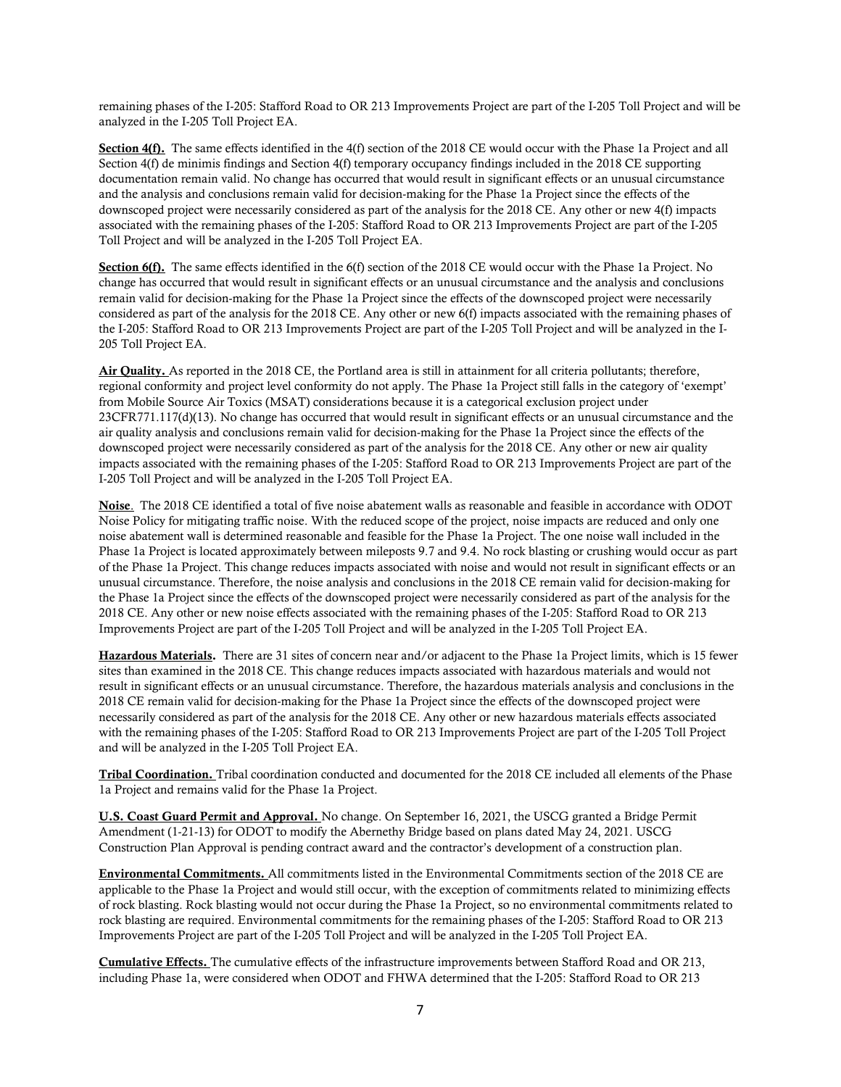remaining phases of the I-205: Stafford Road to OR 213 Improvements Project are part of the I-205 Toll Project and will be analyzed in the I-205 Toll Project EA.

Section 4(f). The same effects identified in the 4(f) section of the 2018 CE would occur with the Phase 1a Project and all Section 4(f) de minimis findings and Section 4(f) temporary occupancy findings included in the 2018 CE supporting documentation remain valid. No change has occurred that would result in significant effects or an unusual circumstance and the analysis and conclusions remain valid for decision-making for the Phase 1a Project since the effects of the downscoped project were necessarily considered as part of the analysis for the 2018 CE. Any other or new 4(f) impacts associated with the remaining phases of the I-205: Stafford Road to OR 213 Improvements Project are part of the I-205 Toll Project and will be analyzed in the I-205 Toll Project EA.

Section 6(f). The same effects identified in the 6(f) section of the 2018 CE would occur with the Phase 1a Project. No change has occurred that would result in significant effects or an unusual circumstance and the analysis and conclusions remain valid for decision-making for the Phase 1a Project since the effects of the downscoped project were necessarily considered as part of the analysis for the 2018 CE. Any other or new 6(f) impacts associated with the remaining phases of the I-205: Stafford Road to OR 213 Improvements Project are part of the I-205 Toll Project and will be analyzed in the I-205 Toll Project EA.

Air Quality. As reported in the 2018 CE, the Portland area is still in attainment for all criteria pollutants; therefore, regional conformity and project level conformity do not apply. The Phase 1a Project still falls in the category of 'exempt' from Mobile Source Air Toxics (MSAT) considerations because it is a categorical exclusion project under 23CFR771.117(d)(13). No change has occurred that would result in significant effects or an unusual circumstance and the air quality analysis and conclusions remain valid for decision-making for the Phase 1a Project since the effects of the downscoped project were necessarily considered as part of the analysis for the 2018 CE. Any other or new air quality impacts associated with the remaining phases of the I-205: Stafford Road to OR 213 Improvements Project are part of the I-205 Toll Project and will be analyzed in the I-205 Toll Project EA.

Noise. The 2018 CE identified a total of five noise abatement walls as reasonable and feasible in accordance with ODOT Noise Policy for mitigating traffic noise. With the reduced scope of the project, noise impacts are reduced and only one noise abatement wall is determined reasonable and feasible for the Phase 1a Project. The one noise wall included in the Phase 1a Project is located approximately between mileposts 9.7 and 9.4. No rock blasting or crushing would occur as part of the Phase 1a Project. This change reduces impacts associated with noise and would not result in significant effects or an unusual circumstance. Therefore, the noise analysis and conclusions in the 2018 CE remain valid for decision-making for the Phase 1a Project since the effects of the downscoped project were necessarily considered as part of the analysis for the 2018 CE. Any other or new noise effects associated with the remaining phases of the I-205: Stafford Road to OR 213 Improvements Project are part of the I-205 Toll Project and will be analyzed in the I-205 Toll Project EA.

Hazardous Materials. There are 31 sites of concern near and/or adjacent to the Phase 1a Project limits, which is 15 fewer sites than examined in the 2018 CE. This change reduces impacts associated with hazardous materials and would not result in significant effects or an unusual circumstance. Therefore, the hazardous materials analysis and conclusions in the 2018 CE remain valid for decision-making for the Phase 1a Project since the effects of the downscoped project were necessarily considered as part of the analysis for the 2018 CE. Any other or new hazardous materials effects associated with the remaining phases of the I-205: Stafford Road to OR 213 Improvements Project are part of the I-205 Toll Project and will be analyzed in the I-205 Toll Project EA.

Tribal Coordination. Tribal coordination conducted and documented for the 2018 CE included all elements of the Phase 1a Project and remains valid for the Phase 1a Project.

U.S. Coast Guard Permit and Approval. No change. On September 16, 2021, the USCG granted a Bridge Permit Amendment (1-21-13) for ODOT to modify the Abernethy Bridge based on plans dated May 24, 2021. USCG Construction Plan Approval is pending contract award and the contractor's development of a construction plan.

Environmental Commitments. All commitments listed in the Environmental Commitments section of the 2018 CE are applicable to the Phase 1a Project and would still occur, with the exception of commitments related to minimizing effects of rock blasting. Rock blasting would not occur during the Phase 1a Project, so no environmental commitments related to rock blasting are required. Environmental commitments for the remaining phases of the I-205: Stafford Road to OR 213 Improvements Project are part of the I-205 Toll Project and will be analyzed in the I-205 Toll Project EA.

Cumulative Effects. The cumulative effects of the infrastructure improvements between Stafford Road and OR 213, including Phase 1a, were considered when ODOT and FHWA determined that the I-205: Stafford Road to OR 213